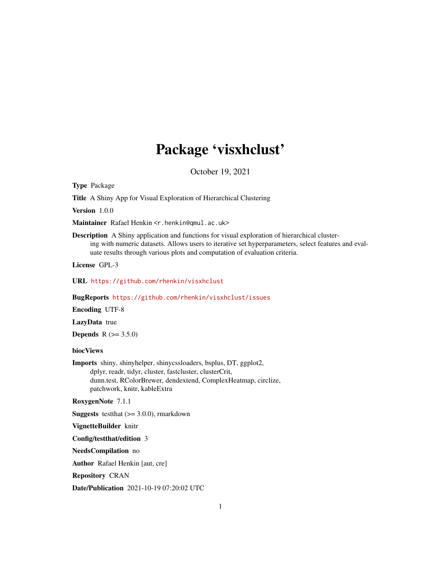# Package 'visxhclust'

October 19, 2021

<span id="page-0-0"></span>Type Package

Title A Shiny App for Visual Exploration of Hierarchical Clustering

Version 1.0.0

Maintainer Rafael Henkin <r.henkin@qmul.ac.uk>

Description A Shiny application and functions for visual exploration of hierarchical clustering with numeric datasets. Allows users to iterative set hyperparameters, select features and evaluate results through various plots and computation of evaluation criteria.

License GPL-3

URL <https://github.com/rhenkin/visxhclust>

BugReports <https://github.com/rhenkin/visxhclust/issues>

Encoding UTF-8

LazyData true

**Depends**  $R (= 3.5.0)$ 

biocViews

Imports shiny, shinyhelper, shinycssloaders, bsplus, DT, ggplot2, dplyr, readr, tidyr, cluster, fastcluster, clusterCrit, dunn.test, RColorBrewer, dendextend, ComplexHeatmap, circlize, patchwork, knitr, kableExtra

RoxygenNote 7.1.1

**Suggests** test that  $(>= 3.0.0)$ , rmarkdown

VignetteBuilder knitr

Config/testthat/edition 3

NeedsCompilation no

Author Rafael Henkin [aut, cre]

Repository CRAN

Date/Publication 2021-10-19 07:20:02 UTC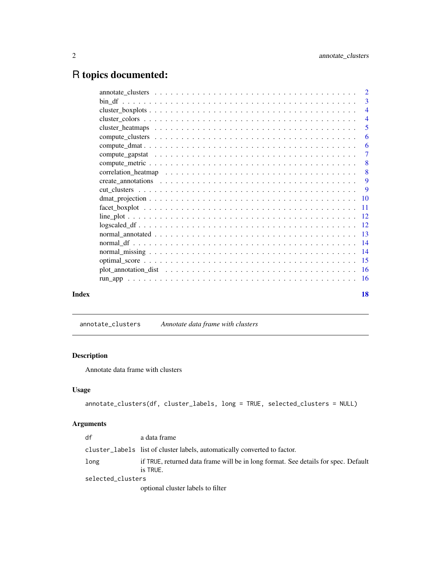# <span id="page-1-0"></span>R topics documented:

|       | $\overline{4}$            |
|-------|---------------------------|
|       | $\overline{5}$            |
|       | -6                        |
|       | 6                         |
|       | $\overline{7}$            |
|       | $\boldsymbol{8}$          |
|       | $\overline{\phantom{0}}8$ |
|       | 9                         |
|       |                           |
|       |                           |
|       |                           |
|       |                           |
|       |                           |
|       |                           |
|       |                           |
|       |                           |
|       |                           |
|       |                           |
|       |                           |
| Index | 18                        |

# annotate\_clusters *Annotate data frame with clusters*

# Description

Annotate data frame with clusters

# Usage

```
annotate_clusters(df, cluster_labels, long = TRUE, selected_clusters = NULL)
```
# Arguments

| df                | a data frame                                                                                   |  |
|-------------------|------------------------------------------------------------------------------------------------|--|
|                   | cluster_labels list of cluster labels, automatically converted to factor.                      |  |
| long              | if TRUE, returned data frame will be in long format. See details for spec. Default<br>is TRUE. |  |
| selected_clusters |                                                                                                |  |
|                   | optional cluster labels to filter                                                              |  |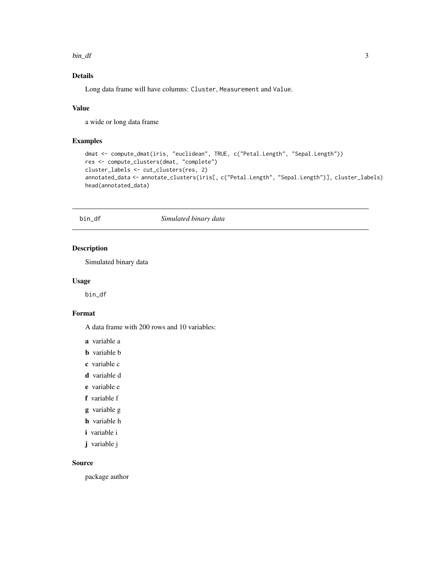<span id="page-2-0"></span> $bin\_df$  3

# Details

Long data frame will have columns: Cluster, Measurement and Value.

#### Value

a wide or long data frame

#### Examples

```
dmat <- compute_dmat(iris, "euclidean", TRUE, c("Petal.Length", "Sepal.Length"))
res <- compute_clusters(dmat, "complete")
cluster_labels <- cut_clusters(res, 2)
annotated_data <- annotate_clusters(iris[, c("Petal.Length", "Sepal.Length")], cluster_labels)
head(annotated_data)
```
bin\_df *Simulated binary data*

#### Description

Simulated binary data

#### Usage

bin\_df

# Format

A data frame with 200 rows and 10 variables:

- a variable a
- b variable b
- c variable c
- d variable d
- e variable e
- f variable f
- g variable g
- h variable h
- i variable i
- j variable j

#### Source

package author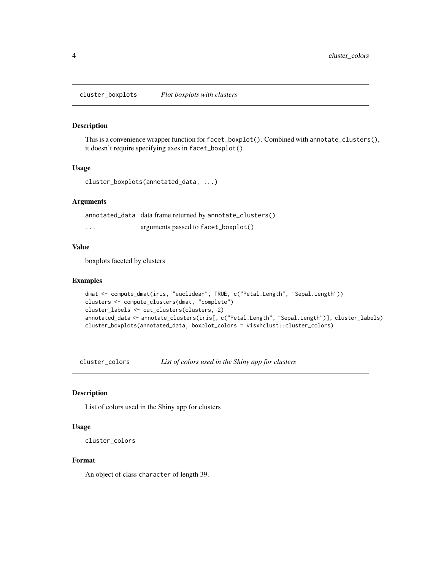<span id="page-3-0"></span>cluster\_boxplots *Plot boxplots with clusters*

#### Description

This is a convenience wrapper function for facet\_boxplot(). Combined with annotate\_clusters(), it doesn't require specifying axes in facet\_boxplot().

#### Usage

```
cluster_boxplots(annotated_data, ...)
```
#### Arguments

annotated\_data data frame returned by annotate\_clusters()

... arguments passed to facet\_boxplot()

# Value

boxplots faceted by clusters

#### Examples

```
dmat <- compute_dmat(iris, "euclidean", TRUE, c("Petal.Length", "Sepal.Length"))
clusters <- compute_clusters(dmat, "complete")
cluster_labels <- cut_clusters(clusters, 2)
annotated_data <- annotate_clusters(iris[, c("Petal.Length", "Sepal.Length")], cluster_labels)
cluster_boxplots(annotated_data, boxplot_colors = visxhclust::cluster_colors)
```
cluster\_colors *List of colors used in the Shiny app for clusters*

#### Description

List of colors used in the Shiny app for clusters

#### Usage

```
cluster_colors
```
#### Format

An object of class character of length 39.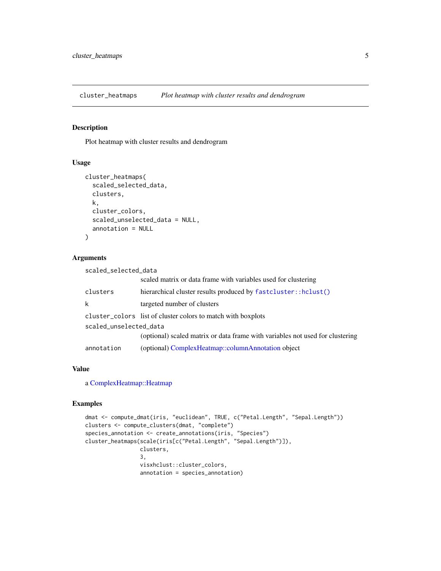<span id="page-4-0"></span>cluster\_heatmaps *Plot heatmap with cluster results and dendrogram*

#### Description

Plot heatmap with cluster results and dendrogram

#### Usage

```
cluster_heatmaps(
  scaled_selected_data,
  clusters,
 k,
  cluster_colors,
  scaled_unselected_data = NULL,
  annotation = NULL
)
```
# Arguments

|                        | scaled matrix or data frame with variables used for clustering                |  |
|------------------------|-------------------------------------------------------------------------------|--|
| clusters               | hierarchical cluster results produced by fastcluster::hclust()                |  |
| k                      | targeted number of clusters                                                   |  |
|                        | cluster_colors list of cluster colors to match with boxplots                  |  |
| scaled_unselected_data |                                                                               |  |
|                        | (optional) scaled matrix or data frame with variables not used for clustering |  |
| annotation             | (optional) ComplexHeatmap::columnAnnotation object                            |  |

# Value

a [ComplexHeatmap::Heatmap](#page-0-0)

scaled\_selected\_data

```
dmat <- compute_dmat(iris, "euclidean", TRUE, c("Petal.Length", "Sepal.Length"))
clusters <- compute_clusters(dmat, "complete")
species_annotation <- create_annotations(iris, "Species")
cluster_heatmaps(scale(iris[c("Petal.Length", "Sepal.Length")]),
                 clusters,
                 3,
                 visxhclust::cluster_colors,
                 annotation = species_annotation)
```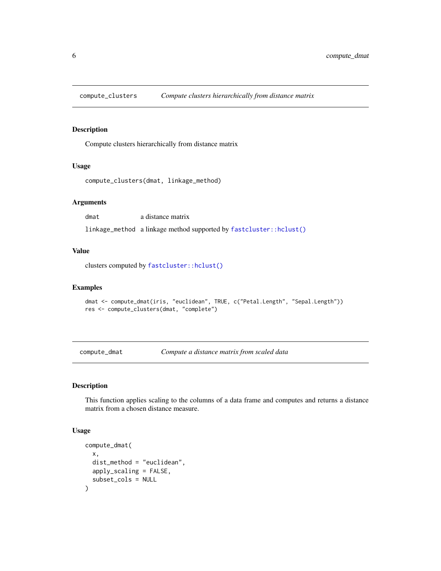<span id="page-5-1"></span><span id="page-5-0"></span>

Compute clusters hierarchically from distance matrix

# Usage

```
compute_clusters(dmat, linkage_method)
```
# Arguments

dmat a distance matrix

linkage\_method a linkage method supported by [fastcluster::hclust\(\)](#page-0-0)

#### Value

clusters computed by [fastcluster::hclust\(\)](#page-0-0)

#### Examples

```
dmat <- compute_dmat(iris, "euclidean", TRUE, c("Petal.Length", "Sepal.Length"))
res <- compute_clusters(dmat, "complete")
```
compute\_dmat *Compute a distance matrix from scaled data*

# Description

This function applies scaling to the columns of a data frame and computes and returns a distance matrix from a chosen distance measure.

#### Usage

```
compute_dmat(
  x,
  dist_method = "euclidean",
  apply_scaling = FALSE,
  subset_cols = NULL
\mathcal{E}
```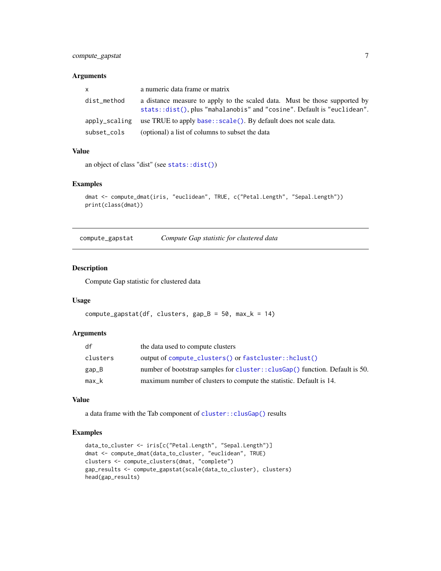# <span id="page-6-0"></span>compute\_gapstat 7

#### Arguments

| <b>X</b>      | a numeric data frame or matrix                                                                                                                        |
|---------------|-------------------------------------------------------------------------------------------------------------------------------------------------------|
| dist_method   | a distance measure to apply to the scaled data. Must be those supported by<br>stats::dist(), plus "mahalanobis" and "cosine". Default is "euclidean". |
| apply_scaling | use TRUE to apply base::scale(). By default does not scale data.                                                                                      |
| subset_cols   | (optional) a list of columns to subset the data                                                                                                       |

# Value

```
an object of class "dist" (see stats::dist())
```
#### Examples

```
dmat <- compute_dmat(iris, "euclidean", TRUE, c("Petal.Length", "Sepal.Length"))
print(class(dmat))
```
compute\_gapstat *Compute Gap statistic for clustered data*

#### Description

Compute Gap statistic for clustered data

# Usage

```
compute_gapstat(df, clusters, gap_B = 50, max_k = 14)
```
#### Arguments

| df       | the data used to compute clusters                                            |
|----------|------------------------------------------------------------------------------|
| clusters | output of compute_clusters() or fastcluster::hclust()                        |
| $gap_B$  | number of bootstrap samples for cluster:: clusGap() function. Default is 50. |
| $max_k$  | maximum number of clusters to compute the statistic. Default is 14.          |

#### Value

a data frame with the Tab component of [cluster::clusGap\(\)](#page-0-0) results

```
data_to_cluster <- iris[c("Petal.Length", "Sepal.Length")]
dmat <- compute_dmat(data_to_cluster, "euclidean", TRUE)
clusters <- compute_clusters(dmat, "complete")
gap_results <- compute_gapstat(scale(data_to_cluster), clusters)
head(gap_results)
```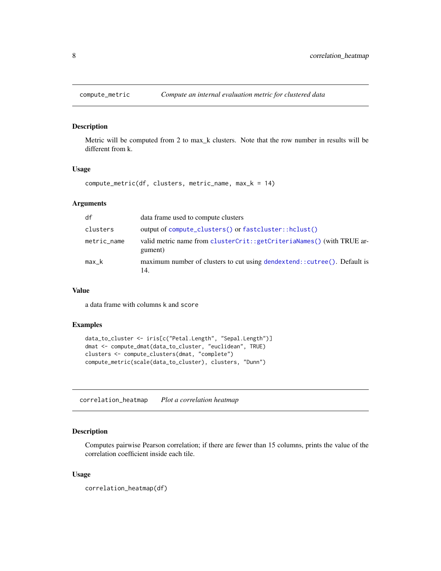<span id="page-7-0"></span>

Metric will be computed from 2 to max\_k clusters. Note that the row number in results will be different from k.

#### Usage

```
compute_metric(df, clusters, metric_name, max_k = 14)
```
#### Arguments

| df          | data frame used to compute clusters                                               |
|-------------|-----------------------------------------------------------------------------------|
| clusters    | output of compute_clusters() or fastcluster::hclust()                             |
| metric_name | valid metric name from clusterCrit::getCriteriaNames() (with TRUE ar-<br>gument)  |
| $max_k$     | maximum number of clusters to cut using dendextend: : cutree(). Default is<br>14. |

#### Value

a data frame with columns k and score

# Examples

```
data_to_cluster <- iris[c("Petal.Length", "Sepal.Length")]
dmat <- compute_dmat(data_to_cluster, "euclidean", TRUE)
clusters <- compute_clusters(dmat, "complete")
compute_metric(scale(data_to_cluster), clusters, "Dunn")
```
correlation\_heatmap *Plot a correlation heatmap*

# Description

Computes pairwise Pearson correlation; if there are fewer than 15 columns, prints the value of the correlation coefficient inside each tile.

#### Usage

```
correlation_heatmap(df)
```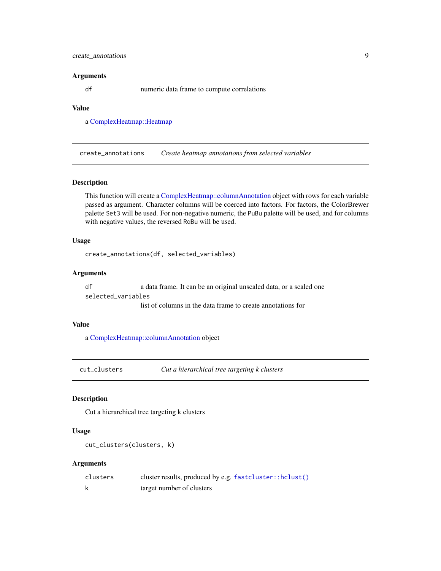# <span id="page-8-0"></span>create\_annotations 9

#### Arguments

df numeric data frame to compute correlations

# Value

a [ComplexHeatmap::Heatmap](#page-0-0)

create\_annotations *Create heatmap annotations from selected variables*

#### Description

This function will create a [ComplexHeatmap::columnAnnotation](#page-0-0) object with rows for each variable passed as argument. Character columns will be coerced into factors. For factors, the ColorBrewer palette Set3 will be used. For non-negative numeric, the PuBu palette will be used, and for columns with negative values, the reversed RdBu will be used.

#### Usage

```
create_annotations(df, selected_variables)
```
# Arguments

df a data frame. It can be an original unscaled data, or a scaled one

selected\_variables

list of columns in the data frame to create annotations for

# Value

a [ComplexHeatmap::columnAnnotation](#page-0-0) object

<span id="page-8-1"></span>cut\_clusters *Cut a hierarchical tree targeting k clusters*

#### Description

Cut a hierarchical tree targeting k clusters

#### Usage

```
cut_clusters(clusters, k)
```
#### Arguments

| clusters | cluster results, produced by e.g. fastcluster::hclust() |
|----------|---------------------------------------------------------|
|          | target number of clusters                               |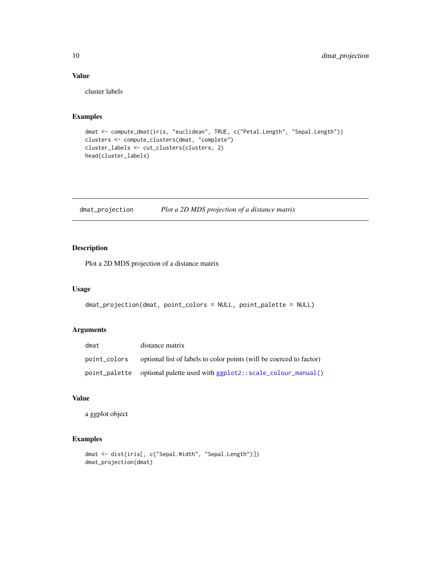# Value

cluster labels

#### Examples

```
dmat <- compute_dmat(iris, "euclidean", TRUE, c("Petal.Length", "Sepal.Length"))
clusters <- compute_clusters(dmat, "complete")
cluster_labels <- cut_clusters(clusters, 2)
head(cluster_labels)
```
dmat\_projection *Plot a 2D MDS projection of a distance matrix*

# Description

Plot a 2D MDS projection of a distance matrix

#### Usage

```
dmat_projection(dmat, point_colors = NULL, point_palette = NULL)
```
#### Arguments

| dmat          | distance matrix                                                     |
|---------------|---------------------------------------------------------------------|
| point_colors  | optional list of labels to color points (will be coerced to factor) |
| point_palette | optional palette used with ggplot2::scale_colour_manual()           |

# Value

a ggplot object

```
dmat <- dist(iris[, c("Sepal.Width", "Sepal.Length")])
dmat_projection(dmat)
```
<span id="page-9-0"></span>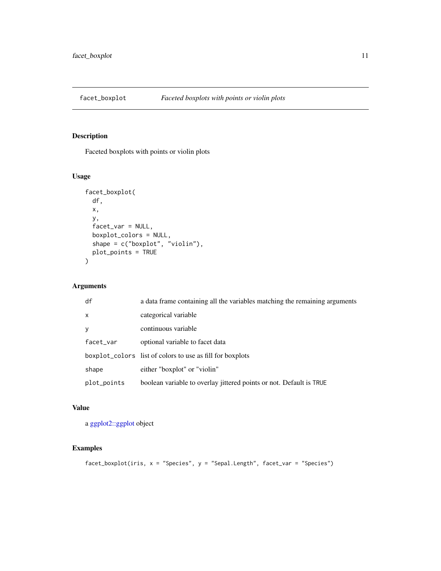<span id="page-10-0"></span>

Faceted boxplots with points or violin plots

#### Usage

```
facet_boxplot(
 df,
 x,
 y,
 facet_var = NULL,
 boxplot_colors = NULL,
 shape = c("boxplot", "violin"),
 plot_points = TRUE
)
```
# Arguments

| df           | a data frame containing all the variables matching the remaining arguments |
|--------------|----------------------------------------------------------------------------|
| $\mathsf{x}$ | categorical variable                                                       |
| y            | continuous variable                                                        |
| facet_var    | optional variable to facet data                                            |
|              | boxplot_colors list of colors to use as fill for boxplots                  |
| shape        | either "boxplot" or "violin"                                               |
| plot_points  | boolean variable to overlay jittered points or not. Default is TRUE        |

# Value

a [ggplot2::ggplot](#page-0-0) object

```
facet_boxplot(iris, x = "Species", y = "Sepal.Length", facet_var = "Species")
```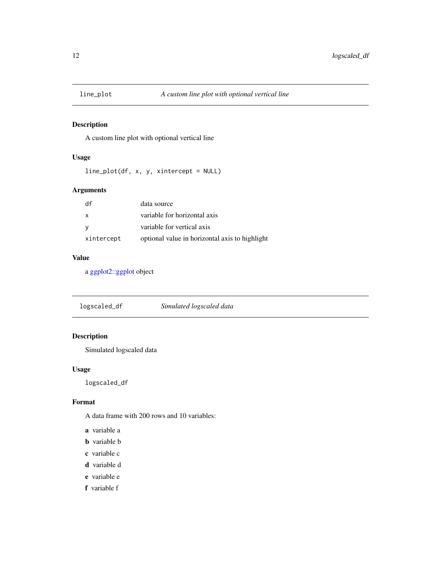<span id="page-11-0"></span>

A custom line plot with optional vertical line

# Usage

```
line_plot(df, x, y, xintercept = NULL)
```
# Arguments

| df         | data source                                    |
|------------|------------------------------------------------|
| X          | variable for horizontal axis                   |
|            | variable for vertical axis                     |
| xintercept | optional value in horizontal axis to highlight |

# Value

a [ggplot2::ggplot](#page-0-0) object

logscaled\_df *Simulated logscaled data*

# Description

Simulated logscaled data

# Usage

logscaled\_df

#### Format

A data frame with 200 rows and 10 variables:

- a variable a
- b variable b
- c variable c
- d variable d
- e variable e
- f variable f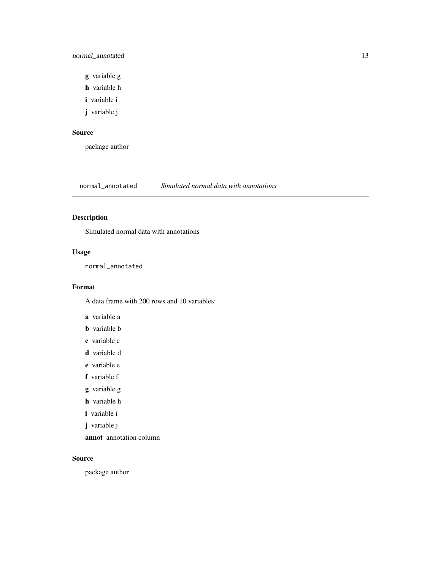# <span id="page-12-0"></span>normal\_annotated 13

- g variable g
- h variable h
- i variable i
- j variable j

# Source

package author

normal\_annotated *Simulated normal data with annotations*

# Description

Simulated normal data with annotations

# Usage

normal\_annotated

#### Format

A data frame with 200 rows and 10 variables:

a variable a

- b variable b
- c variable c
- d variable d
- e variable e

f variable f

g variable g

- h variable h
- i variable i
- j variable j

annot annotation column

#### Source

package author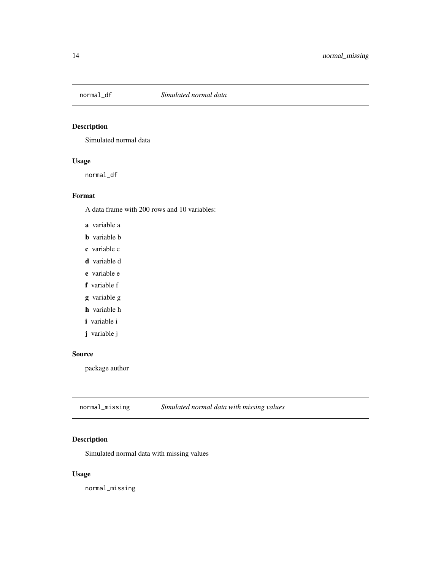<span id="page-13-0"></span>

Simulated normal data

#### Usage

normal\_df

# Format

A data frame with 200 rows and 10 variables:

a variable a

- b variable b
- c variable c
- d variable d
- e variable e
- f variable f
- g variable g
- h variable h
- i variable i
- j variable j

#### Source

package author

| normal_missing | Simulated normal data with missing values |
|----------------|-------------------------------------------|
|----------------|-------------------------------------------|

# Description

Simulated normal data with missing values

# Usage

normal\_missing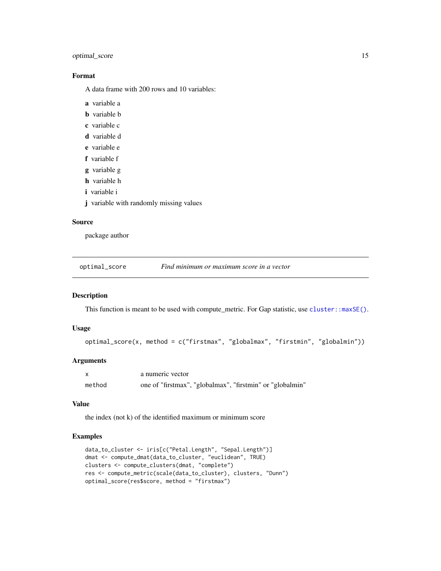# <span id="page-14-0"></span>optimal\_score 15

# Format

A data frame with 200 rows and 10 variables:

- a variable a
- b variable b
- c variable c
- d variable d
- e variable e
- f variable f
- g variable g
- h variable h
- i variable i
- j variable with randomly missing values

#### Source

package author

optimal\_score *Find minimum or maximum score in a vector*

#### Description

This function is meant to be used with compute\_metric. For Gap statistic, use [cluster::maxSE\(\)](#page-0-0).

#### Usage

```
optimal_score(x, method = c("firstmax", "globalmax", "firstmin", "globalmin"))
```
# Arguments

|        | a numeric vector                                          |
|--------|-----------------------------------------------------------|
| method | one of "firstmax", "globalmax", "firstmin" or "globalmin" |

# Value

the index (not k) of the identified maximum or minimum score

```
data_to_cluster <- iris[c("Petal.Length", "Sepal.Length")]
dmat <- compute_dmat(data_to_cluster, "euclidean", TRUE)
clusters <- compute_clusters(dmat, "complete")
res <- compute_metric(scale(data_to_cluster), clusters, "Dunn")
optimal_score(res$score, method = "firstmax")
```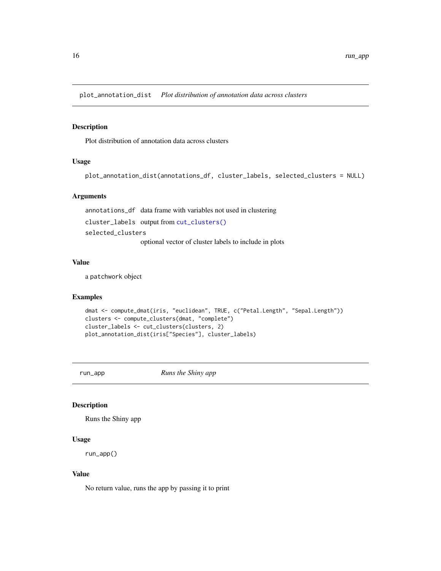<span id="page-15-0"></span>plot\_annotation\_dist *Plot distribution of annotation data across clusters*

# Description

Plot distribution of annotation data across clusters

#### Usage

```
plot_annotation_dist(annotations_df, cluster_labels, selected_clusters = NULL)
```
#### Arguments

annotations\_df data frame with variables not used in clustering cluster\_labels output from [cut\\_clusters\(\)](#page-8-1) selected\_clusters optional vector of cluster labels to include in plots

#### Value

a patchwork object

# Examples

```
dmat <- compute_dmat(iris, "euclidean", TRUE, c("Petal.Length", "Sepal.Length"))
clusters <- compute_clusters(dmat, "complete")
cluster_labels <- cut_clusters(clusters, 2)
plot_annotation_dist(iris["Species"], cluster_labels)
```
run\_app *Runs the Shiny app*

# Description

Runs the Shiny app

#### Usage

run\_app()

#### Value

No return value, runs the app by passing it to print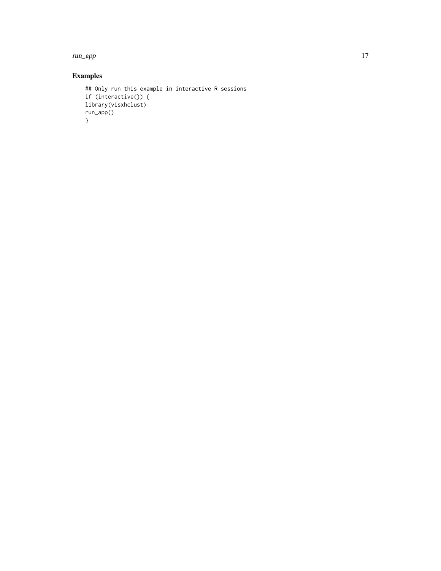run\_app and the contract of the contract of the contract of the contract of the contract of the contract of the contract of the contract of the contract of the contract of the contract of the contract of the contract of th

```
## Only run this example in interactive R sessions
if (interactive()) {
library(visxhclust)
run_app()
}
```